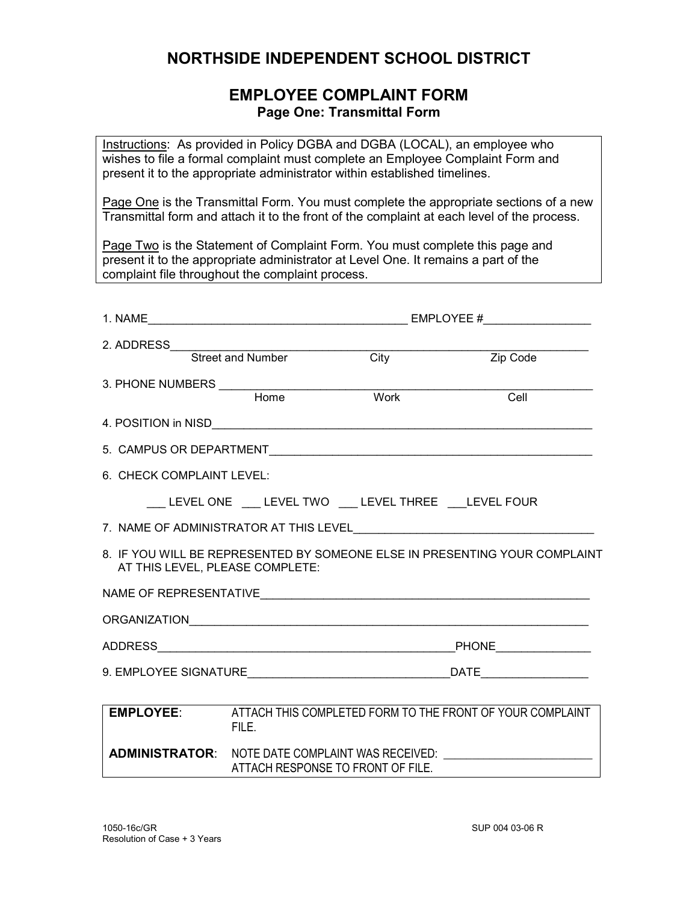## **NORTHSIDE INDEPENDENT SCHOOL DISTRICT**

## **EMPLOYEE COMPLAINT FORM Page One: Transmittal Form**

Instructions: As provided in Policy DGBA and DGBA (LOCAL), an employee who wishes to file a formal complaint must complete an Employee Complaint Form and present it to the appropriate administrator within established timelines.

Page One is the Transmittal Form. You must complete the appropriate sections of a new Transmittal form and attach it to the front of the complaint at each level of the process.

Page Two is the Statement of Complaint Form. You must complete this page and present it to the appropriate administrator at Level One. It remains a part of the complaint file throughout the complaint process.

| 2. ADDRESS<br>Street and Number<br>City |       |                                            | Zip Code                                                                         |  |
|-----------------------------------------|-------|--------------------------------------------|----------------------------------------------------------------------------------|--|
|                                         |       | Work                                       | $\overline{\phantom{a}}$ Cell                                                    |  |
|                                         |       |                                            |                                                                                  |  |
|                                         |       |                                            |                                                                                  |  |
| 6. CHECK COMPLAINT LEVEL:               |       |                                            |                                                                                  |  |
|                                         |       | LEVEL ONE LEVEL TWO LEVEL THREE LEVEL FOUR |                                                                                  |  |
|                                         |       |                                            |                                                                                  |  |
| AT THIS LEVEL, PLEASE COMPLETE:         |       |                                            | 8. IF YOU WILL BE REPRESENTED BY SOMEONE ELSE IN PRESENTING YOUR COMPLAINT       |  |
|                                         |       |                                            |                                                                                  |  |
|                                         |       |                                            |                                                                                  |  |
|                                         |       |                                            |                                                                                  |  |
|                                         |       |                                            |                                                                                  |  |
|                                         | FILE. |                                            | <b>EMPLOYEE:</b> ATTACH THIS COMPLETED FORM TO THE FRONT OF YOUR COMPLAINT       |  |
|                                         |       | ATTACH RESPONSE TO FRONT OF FILE.          | <b>ADMINISTRATOR:</b> NOTE DATE COMPLAINT WAS RECEIVED: ________________________ |  |